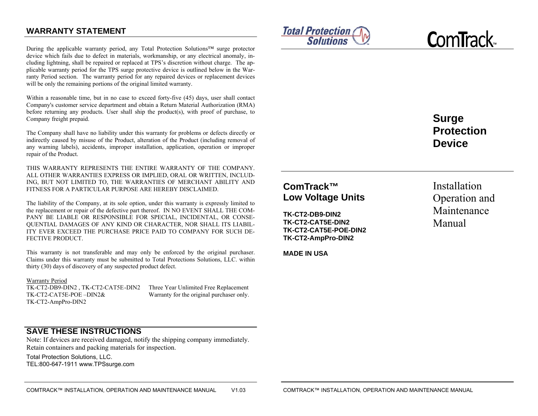## **WARRANTY STATEMENT**

During the applicable warranty period, any Total Protection Solutions™ surge protector device which fails due to defect in materials, workmanship, or any electrical anomaly, including lightning, shall be repaired or replaced at TPS's discretion without charge. The applicable warranty period for the TPS surge protective device is outlined below in the Warranty Period section. The warranty period for any repaired devices or replacement devices will be only the remaining portions of the original limited warranty.

Within a reasonable time, but in no case to exceed forty-five (45) days, user shall contact Company's customer service department and obtain a Return Material Authorization (RMA) before returning any products. User shall ship the product(s), with proof of purchase, to Company freight prepaid.

The Company shall have no liability under this warranty for problems or defects directly or indirectly caused by misuse of the Product, alteration of the Product (including removal of any warning labels), accidents, improper installation, application, operation or improper repair of the Product.

THIS WARRANTY REPRESENTS THE ENTIRE WARRANTY OF THE COMPANY. ALL OTHER WARRANTIES EXPRESS OR IMPLIED, ORAL OR WRITTEN, INCLUD-ING, BUT NOT LIMITED TO, THE WARRANTIES OF MERCHANT ABILITY AND FITNESS FOR A PARTICULAR PURPOSE ARE HEREBY DISCLAIMED.

The liability of the Company, at its sole option, under this warranty is expressly limited to the replacement or repair of the defective part thereof. IN NO EVENT SHALL THE COM-PANY BE LIABLE OR RESPONSIBLE FOR SPECIAL, INCIDENTAL, OR CONSE-QUENTIAL DAMAGES OF ANY KIND OR CHARACTER, NOR SHALL ITS LIABIL-ITY EVER EXCEED THE PURCHASE PRICE PAID TO COMPANY FOR SUCH DE-FECTIVE PRODUCT.

This warranty is not transferable and may only be enforced by the original purchaser. Claims under this warranty must be submitted to Total Protections Solutions, LLC. within thirty (30) days of discovery of any suspected product defect.

#### Warranty Period

TK-CT2-DB9-DIN2 , TK-CT2-CAT5E -DIN2 Three Year Unlimited Free Replacement TK-CT2-CAT5E-POE –DIN2& Warranty for the original purchaser only. TK-CT2-AmpPro-DIN2



**C**om**T**rack™

# **Surge Protection Device**

## **ComTrack™ Low Voltage Units**

**TK-CT2-DB9-DIN2 TK-CT2-CAT5E-DIN2 TK-CT2-CAT5E-POE-DIN2 TK-CT2-AmpPro-DIN2** 

**MADE IN USA** 

Installation Operation and Maintenance Manual

**SAVE THESE INSTRUCTIONS**

Note: If devices are received damaged, notify the shipping company immediately. Retain containers and packing materials for inspection.

Total Protection Solutions, LLC. TEL:800-647-1911 www.TPSsurge.com